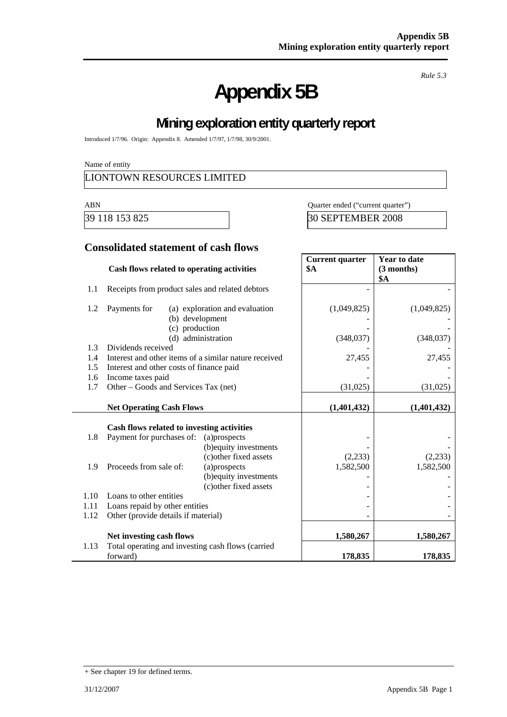# **Appendix 5B**

*Rule 5.3* 

# **Mining exploration entity quarterly report**

Introduced 1/7/96. Origin: Appendix 8. Amended 1/7/97, 1/7/98, 30/9/2001.

Name of entity

### LIONTOWN RESOURCES LIMITED

ABN Quarter ended ("current quarter")

39 118 153 825 30 SEPTEMBER 2008

### **Consolidated statement of cash flows**

|      | Cash flows related to operating activities            |                                | <b>Current quarter</b><br><b>\$A</b> | <b>Year to date</b><br>(3 months)<br>\$A |
|------|-------------------------------------------------------|--------------------------------|--------------------------------------|------------------------------------------|
| 1.1  | Receipts from product sales and related debtors       |                                |                                      |                                          |
| 1.2  | Payments for<br>(b) development<br>(c) production     | (a) exploration and evaluation | (1,049,825)                          | (1,049,825)                              |
|      |                                                       | (d) administration             | (348,037)                            | (348,037)                                |
| 1.3  | Dividends received                                    |                                |                                      |                                          |
| 1.4  | Interest and other items of a similar nature received |                                | 27,455                               | 27,455                                   |
| 1.5  | Interest and other costs of finance paid              |                                |                                      |                                          |
| 1.6  | Income taxes paid                                     |                                |                                      |                                          |
| 1.7  | Other – Goods and Services Tax (net)                  |                                | (31,025)                             | (31,025)                                 |
|      | <b>Net Operating Cash Flows</b>                       |                                | (1,401,432)                          | (1,401,432)                              |
|      | Cash flows related to investing activities            |                                |                                      |                                          |
| 1.8  | Payment for purchases of:                             | (a)prospects                   |                                      |                                          |
|      |                                                       | (b) equity investments         |                                      |                                          |
|      |                                                       | (c) other fixed assets         | (2,233)                              | (2,233)                                  |
| 1.9  | Proceeds from sale of:                                | (a)prospects                   | 1,582,500                            | 1,582,500                                |
|      |                                                       | (b) equity investments         |                                      |                                          |
|      |                                                       | (c) other fixed assets         |                                      |                                          |
| 1.10 | Loans to other entities                               |                                |                                      |                                          |
| 1.11 | Loans repaid by other entities                        |                                |                                      |                                          |
| 1.12 | Other (provide details if material)                   |                                |                                      |                                          |
|      | Net investing cash flows                              |                                | 1,580,267                            | 1,580,267                                |
| 1.13 | Total operating and investing cash flows (carried     |                                |                                      |                                          |
|      | forward)                                              |                                | 178,835                              | 178,835                                  |

<sup>+</sup> See chapter 19 for defined terms.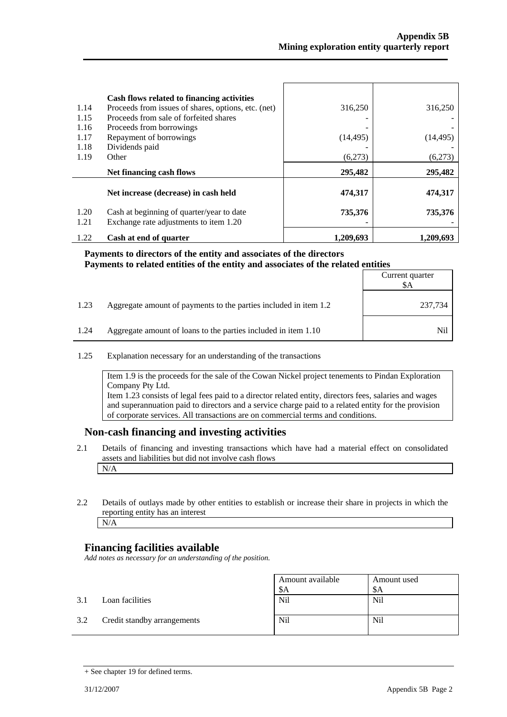| 1.14<br>1.15<br>1.16<br>1.17 | Cash flows related to financing activities<br>Proceeds from issues of shares, options, etc. (net)<br>Proceeds from sale of forfeited shares<br>Proceeds from borrowings<br>Repayment of borrowings | 316,250<br>(14, 495) | 316,250<br>(14, 495) |
|------------------------------|----------------------------------------------------------------------------------------------------------------------------------------------------------------------------------------------------|----------------------|----------------------|
| 1.18<br>1.19                 | Dividends paid<br>Other                                                                                                                                                                            | (6.273)              | (6,273)              |
|                              | Net financing cash flows                                                                                                                                                                           | 295,482              | 295,482              |
|                              | Net increase (decrease) in cash held                                                                                                                                                               | 474,317              | 474,317              |
| 1.20<br>1.21                 | Cash at beginning of quarter/year to date<br>Exchange rate adjustments to item 1.20                                                                                                                | 735,376              | 735,376              |
| 1.22                         | Cash at end of quarter                                                                                                                                                                             | 1.209.693            | 1.209.693            |

#### **Payments to directors of the entity and associates of the directors Payments to related entities of the entity and associates of the related entities**

|      |                                                                  | Current quarter<br>SА |
|------|------------------------------------------------------------------|-----------------------|
| 1.23 | Aggregate amount of payments to the parties included in item 1.2 | 237,734               |
| 1.24 | Aggregate amount of loans to the parties included in item 1.10   | Nil                   |

1.25 Explanation necessary for an understanding of the transactions

Item 1.9 is the proceeds for the sale of the Cowan Nickel project tenements to Pindan Exploration Company Pty Ltd. Item 1.23 consists of legal fees paid to a director related entity, directors fees, salaries and wages and superannuation paid to directors and a service charge paid to a related entity for the provision

of corporate services. All transactions are on commercial terms and conditions.

#### **Non-cash financing and investing activities**

- 2.1 Details of financing and investing transactions which have had a material effect on consolidated assets and liabilities but did not involve cash flows N/A
- 2.2 Details of outlays made by other entities to establish or increase their share in projects in which the reporting entity has an interest N/A

### **Financing facilities available**

*Add notes as necessary for an understanding of the position.* 

|     |                             | Amount available<br>\$Α | Amount used<br>\$A |
|-----|-----------------------------|-------------------------|--------------------|
| 3.1 | Loan facilities             | Nil                     | <b>Nil</b>         |
| 3.2 | Credit standby arrangements | <b>Nil</b>              | Nil                |

<sup>+</sup> See chapter 19 for defined terms.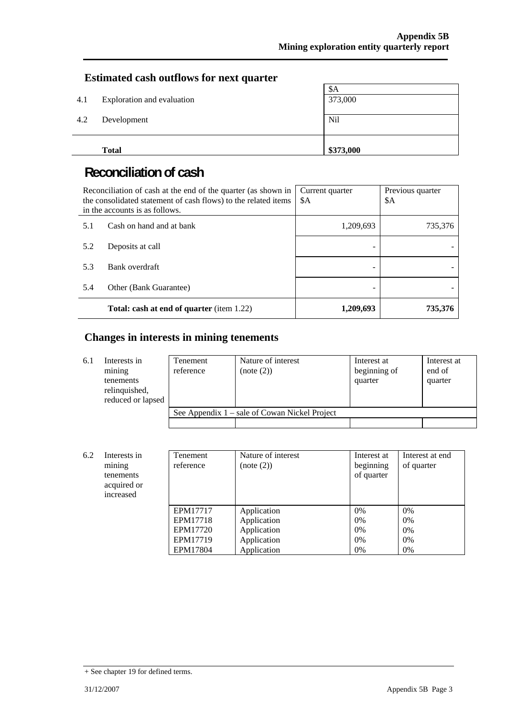### **Estimated cash outflows for next quarter**

|     | <b>Total</b>               | \$373,000 |
|-----|----------------------------|-----------|
| 4.2 | Development                | Nil       |
| 4.1 | Exploration and evaluation | 373,000   |
|     |                            | \$A       |

# **Reconciliation of cash**

| Reconciliation of cash at the end of the quarter (as shown in<br>the consolidated statement of cash flows) to the related items<br>in the accounts is as follows. |                                                  | Current quarter<br>\$A | Previous quarter<br>\$A |
|-------------------------------------------------------------------------------------------------------------------------------------------------------------------|--------------------------------------------------|------------------------|-------------------------|
| 5.1                                                                                                                                                               | Cash on hand and at bank                         | 1,209,693              | 735,376                 |
| 5.2                                                                                                                                                               | Deposits at call                                 |                        |                         |
| 5.3                                                                                                                                                               | Bank overdraft                                   |                        |                         |
| 5.4                                                                                                                                                               | Other (Bank Guarantee)                           |                        |                         |
|                                                                                                                                                                   | <b>Total: cash at end of quarter</b> (item 1.22) | 1,209,693              | 735,376                 |

### **Changes in interests in mining tenements**

| 6.1 | Interests in<br>mining<br>tenements<br>relinquished,<br>reduced or lapsed | <b>Tenement</b><br>reference | Nature of interest<br>(note (2))                | Interest at<br>beginning of<br>quarter | Interest at<br>end of<br>quarter |
|-----|---------------------------------------------------------------------------|------------------------------|-------------------------------------------------|----------------------------------------|----------------------------------|
|     |                                                                           |                              | See Appendix $1$ – sale of Cowan Nickel Project |                                        |                                  |
|     |                                                                           |                              |                                                 |                                        |                                  |

| 6.2 | Interests in<br>mining<br>tenements<br>acquired or<br>increased | Tenement<br>reference | Nature of interest<br>(note (2)) | Interest at<br>beginning<br>of quarter | Interest at end<br>of quarter |
|-----|-----------------------------------------------------------------|-----------------------|----------------------------------|----------------------------------------|-------------------------------|
|     |                                                                 | EPM17717              | Application                      | 0%                                     | $0\%$                         |
|     |                                                                 | EPM17718              | Application                      | 0%                                     | 0%                            |
|     |                                                                 | EPM17720              | Application                      | 0%                                     | 0%                            |
|     |                                                                 | EPM17719              | Application                      | 0%                                     | $0\%$                         |
|     |                                                                 | EPM17804              | Application                      | 0%                                     | $0\%$                         |

<sup>+</sup> See chapter 19 for defined terms.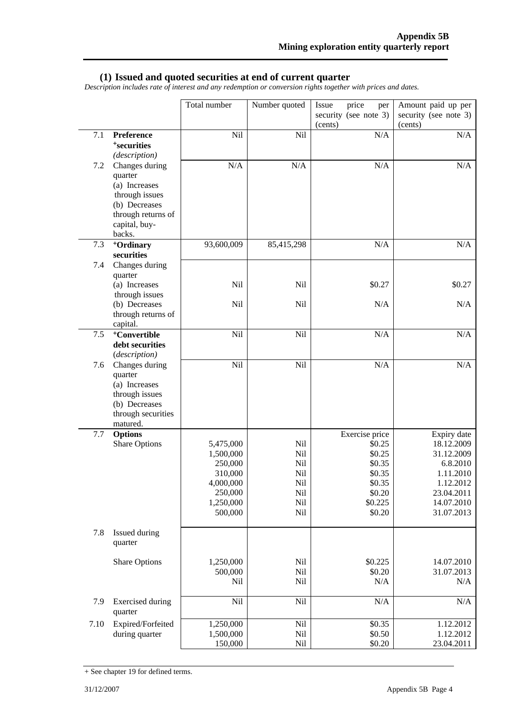#### **(1) Issued and quoted securities at end of current quarter**

*Description includes rate of interest and any redemption or conversion rights together with prices and dates.* 

|         |                                                                                                                                | Total number                                                                                 | Number quoted                                        | price<br>Issue<br>per<br>security (see note 3)<br>(cents)                                       | Amount paid up per<br>security (see note 3)<br>(cents)                                                                  |
|---------|--------------------------------------------------------------------------------------------------------------------------------|----------------------------------------------------------------------------------------------|------------------------------------------------------|-------------------------------------------------------------------------------------------------|-------------------------------------------------------------------------------------------------------------------------|
| $7.1\,$ | Preference<br><sup>+</sup> securities<br>(description)                                                                         | Nil                                                                                          | Nil                                                  | N/A                                                                                             | N/A                                                                                                                     |
| 7.2     | Changes during<br>quarter<br>(a) Increases<br>through issues<br>(b) Decreases<br>through returns of<br>capital, buy-<br>backs. | N/A                                                                                          | N/A                                                  | N/A                                                                                             | $\rm N/A$                                                                                                               |
| 7.3     | <sup>+</sup> Ordinary<br>securities                                                                                            | 93,600,009                                                                                   | 85,415,298                                           | N/A                                                                                             | N/A                                                                                                                     |
| 7.4     | Changes during<br>quarter<br>(a) Increases<br>through issues                                                                   | Nil                                                                                          | Nil                                                  | \$0.27                                                                                          | \$0.27                                                                                                                  |
|         | (b) Decreases<br>through returns of<br>capital.                                                                                | Nil                                                                                          | Nil                                                  | N/A                                                                                             | N/A                                                                                                                     |
| $7.5\,$ | <sup>+</sup> Convertible<br>debt securities<br>(description)                                                                   | Nil                                                                                          | Nil                                                  | N/A                                                                                             | $\rm N/A$                                                                                                               |
| 7.6     | Changes during<br>quarter<br>(a) Increases<br>through issues<br>(b) Decreases<br>through securities<br>matured.                | Nil                                                                                          | Nil                                                  | N/A                                                                                             | N/A                                                                                                                     |
| 7.7     | <b>Options</b><br><b>Share Options</b>                                                                                         | 5,475,000<br>1,500,000<br>250,000<br>310,000<br>4,000,000<br>250,000<br>1,250,000<br>500,000 | Nil<br>Nil<br>Nil<br>Nil<br>Nil<br>Nil<br>Nil<br>Nil | Exercise price<br>\$0.25<br>\$0.25<br>\$0.35<br>\$0.35<br>\$0.35<br>\$0.20<br>\$0.225<br>\$0.20 | Expiry date<br>18.12.2009<br>31.12.2009<br>6.8.2010<br>1.11.2010<br>1.12.2012<br>23.04.2011<br>14.07.2010<br>31.07.2013 |
| 7.8     | Issued during<br>quarter                                                                                                       |                                                                                              |                                                      |                                                                                                 |                                                                                                                         |
|         | Share Options                                                                                                                  | 1,250,000<br>500,000<br>Nil                                                                  | Nil<br>Nil<br>Nil                                    | \$0.225<br>\$0.20<br>N/A                                                                        | 14.07.2010<br>31.07.2013<br>N/A                                                                                         |
| 7.9     | <b>Exercised</b> during<br>quarter                                                                                             | Nil                                                                                          | Nil                                                  | N/A                                                                                             | N/A                                                                                                                     |
| 7.10    | Expired/Forfeited<br>during quarter                                                                                            | 1,250,000<br>1,500,000<br>150,000                                                            | Nil<br>Nil<br>Nil                                    | \$0.35<br>\$0.50<br>\$0.20                                                                      | 1.12.2012<br>1.12.2012<br>23.04.2011                                                                                    |

<sup>+</sup> See chapter 19 for defined terms.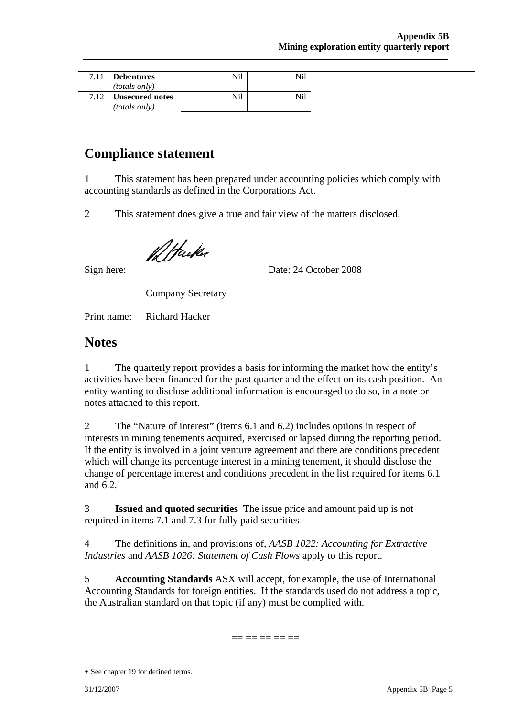| 7.11 | <b>Debentures</b><br>(totals only)             | Nil | Nil |
|------|------------------------------------------------|-----|-----|
| 7.12 | <b>Unsecured notes</b><br><i>(totals only)</i> | Nil |     |

## **Compliance statement**

1 This statement has been prepared under accounting policies which comply with accounting standards as defined in the Corporations Act.

2 This statement does give a true and fair view of the matters disclosed.

12 Hucker

Sign here: Date: 24 October 2008

Company Secretary

Print name: Richard Hacker

### **Notes**

1 The quarterly report provides a basis for informing the market how the entity's activities have been financed for the past quarter and the effect on its cash position. An entity wanting to disclose additional information is encouraged to do so, in a note or notes attached to this report.

2 The "Nature of interest" (items 6.1 and 6.2) includes options in respect of interests in mining tenements acquired, exercised or lapsed during the reporting period. If the entity is involved in a joint venture agreement and there are conditions precedent which will change its percentage interest in a mining tenement, it should disclose the change of percentage interest and conditions precedent in the list required for items 6.1 and 6.2.

3 **Issued and quoted securities** The issue price and amount paid up is not required in items 7.1 and 7.3 for fully paid securities*.* 

4 The definitions in, and provisions of, *AASB 1022: Accounting for Extractive Industries* and *AASB 1026: Statement of Cash Flows* apply to this report.

5 **Accounting Standards** ASX will accept, for example, the use of International Accounting Standards for foreign entities. If the standards used do not address a topic, the Australian standard on that topic (if any) must be complied with.

== == == == ==

<sup>+</sup> See chapter 19 for defined terms.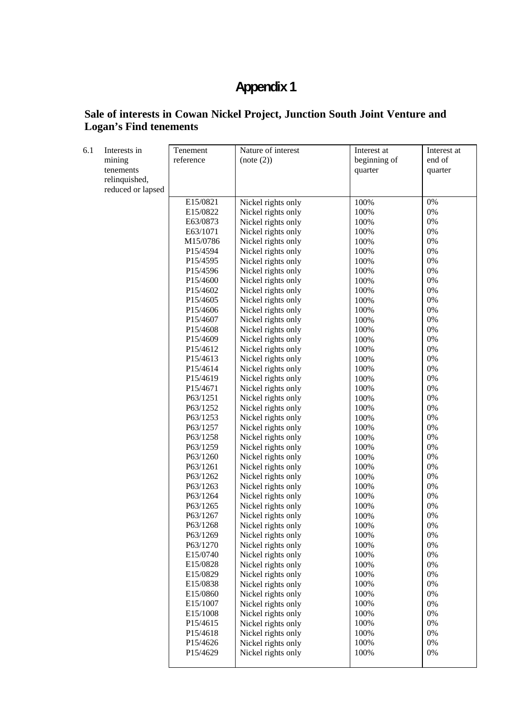# **Appendix 1**

### **Sale of interests in Cowan Nickel Project, Junction South Joint Venture and Logan's Find tenements**

| 6.1 | Interests in      | Tenement  | Nature of interest | Interest at  | Interest at |
|-----|-------------------|-----------|--------------------|--------------|-------------|
|     | mining            | reference | (note (2))         | beginning of | end of      |
|     | tenements         |           |                    | quarter      | quarter     |
|     | relinquished,     |           |                    |              |             |
|     | reduced or lapsed |           |                    |              |             |
|     |                   | E15/0821  | Nickel rights only | 100%         | 0%          |
|     |                   | E15/0822  | Nickel rights only | 100%         | $0\%$       |
|     |                   | E63/0873  | Nickel rights only | 100%         | $0\%$       |
|     |                   | E63/1071  | Nickel rights only | 100%         | 0%          |
|     |                   | M15/0786  | Nickel rights only | 100%         | $0\%$       |
|     |                   | P15/4594  | Nickel rights only | 100%         | 0%          |
|     |                   | P15/4595  | Nickel rights only | 100%         | $0\%$       |
|     |                   | P15/4596  | Nickel rights only | 100%         | $0\%$       |
|     |                   | P15/4600  | Nickel rights only | 100%         | 0%          |
|     |                   | P15/4602  | Nickel rights only | 100%         | $0\%$       |
|     |                   | P15/4605  | Nickel rights only | 100%         | $0\%$       |
|     |                   | P15/4606  | Nickel rights only | 100%         | $0\%$       |
|     |                   | P15/4607  | Nickel rights only | 100%         | $0\%$       |
|     |                   | P15/4608  | Nickel rights only | 100%         | $0\%$       |
|     |                   | P15/4609  | Nickel rights only | 100%         | 0%          |
|     |                   | P15/4612  | Nickel rights only | 100%         | $0\%$       |
|     |                   | P15/4613  | Nickel rights only | 100%         | $0\%$       |
|     |                   | P15/4614  | Nickel rights only | 100%         | 0%          |
|     |                   | P15/4619  | Nickel rights only | 100%         | 0%          |
|     |                   | P15/4671  | Nickel rights only | 100%         | $0\%$       |
|     |                   | P63/1251  | Nickel rights only | 100%         | 0%          |
|     |                   | P63/1252  | Nickel rights only | 100%         | 0%          |
|     |                   | P63/1253  | Nickel rights only | 100%         | $0\%$       |
|     |                   | P63/1257  | Nickel rights only | 100%         | $0\%$       |
|     |                   | P63/1258  | Nickel rights only | 100%         | $0\%$       |
|     |                   | P63/1259  | Nickel rights only | 100%         | $0\%$       |
|     |                   | P63/1260  | Nickel rights only | 100%         | 0%          |
|     |                   | P63/1261  | Nickel rights only | 100%         | $0\%$       |
|     |                   | P63/1262  | Nickel rights only | 100%         | $0\%$       |
|     |                   | P63/1263  | Nickel rights only | 100%         | $0\%$       |
|     |                   | P63/1264  | Nickel rights only | 100%         | 0%          |
|     |                   | P63/1265  | Nickel rights only | 100%         | $0\%$       |
|     |                   | P63/1267  | Nickel rights only | 100%         | 0%          |
|     |                   | P63/1268  | Nickel rights only | 100%         | $0\%$       |
|     |                   | P63/1269  | Nickel rights only | 100%         | 0%          |
|     |                   | P63/1270  | Nickel rights only | 100%         | $0\%$       |
|     |                   | E15/0740  | Nickel rights only | 100%         | $0\%$       |
|     |                   | E15/0828  | Nickel rights only | 100%         | $0\%$       |
|     |                   | E15/0829  | Nickel rights only | 100%         | $0\%$       |
|     |                   | E15/0838  | Nickel rights only | 100%         | 0%          |
|     |                   | E15/0860  | Nickel rights only | 100%         | $0\%$       |
|     |                   | E15/1007  | Nickel rights only | 100%         | $0\%$       |
|     |                   | E15/1008  | Nickel rights only | 100%         | $0\%$       |
|     |                   | P15/4615  | Nickel rights only | 100%         | $0\%$       |
|     |                   | P15/4618  | Nickel rights only | 100%         | $0\%$       |
|     |                   | P15/4626  | Nickel rights only | 100%         | $0\%$       |
|     |                   | P15/4629  | Nickel rights only | 100%         | $0\%$       |
|     |                   |           |                    |              |             |